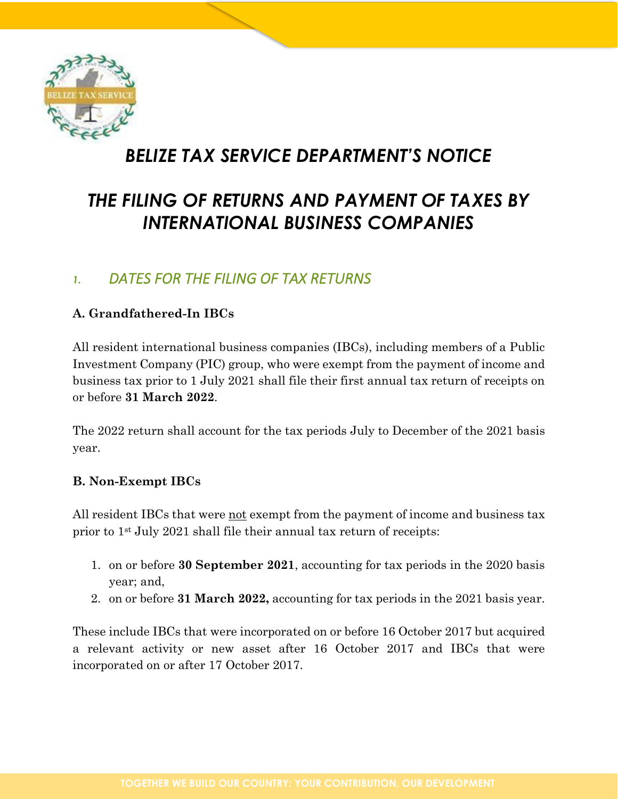

# *BELIZE TAX SERVICE DEPARTMENT'S NOTICE*

# *THE FILING OF RETURNS AND PAYMENT OF TAXES BY INTERNATIONAL BUSINESS COMPANIES*

## *1. DATES FOR THE FILING OF TAX RETURNS*

#### **A. Grandfathered-In IBCs**

All resident international business companies (IBCs), including members of a Public Investment Company (PIC) group, who were exempt from the payment of income and business tax prior to 1 July 2021 shall file their first annual tax return of receipts on or before **31 March 2022**.

The 2022 return shall account for the tax periods July to December of the 2021 basis year.

#### **B. Non-Exempt IBCs**

All resident IBCs that were <u>not</u> exempt from the payment of income and business tax prior to 1st July 2021 shall file their annual tax return of receipts:

- 1. on or before **30 September 2021**, accounting for tax periods in the 2020 basis year; and,
- 2. on or before **31 March 2022,** accounting for tax periods in the 2021 basis year.

These include IBCs that were incorporated on or before 16 October 2017 but acquired a relevant activity or new asset after 16 October 2017 and IBCs that were incorporated on or after 17 October 2017.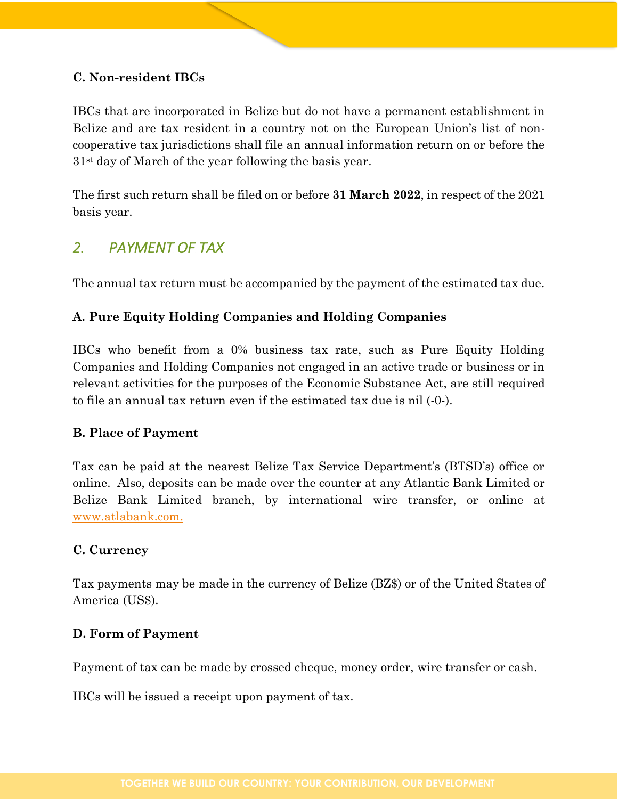#### **C. Non-resident IBCs**

IBCs that are incorporated in Belize but do not have a permanent establishment in Belize and are tax resident in a country not on the European Union's list of noncooperative tax jurisdictions shall file an annual information return on or before the 31st day of March of the year following the basis year.

The first such return shall be filed on or before **31 March 2022**, in respect of the 2021 basis year.

### *2. PAYMENT OF TAX*

The annual tax return must be accompanied by the payment of the estimated tax due.

#### **A. Pure Equity Holding Companies and Holding Companies**

IBCs who benefit from a 0% business tax rate, such as Pure Equity Holding Companies and Holding Companies not engaged in an active trade or business or in relevant activities for the purposes of the Economic Substance Act, are still required to file an annual tax return even if the estimated tax due is nil (-0-).

#### **B. Place of Payment**

Tax can be paid at the nearest Belize Tax Service Department's (BTSD's) office or online. Also, deposits can be made over the counter at any Atlantic Bank Limited or Belize Bank Limited branch, by international wire transfer, or online at [www.atlabank.com.](http://www.atlabank.com/)

#### **C. Currency**

Tax payments may be made in the currency of Belize (BZ\$) or of the United States of America (US\$).

#### **D. Form of Payment**

Payment of tax can be made by crossed cheque, money order, wire transfer or cash.

IBCs will be issued a receipt upon payment of tax.